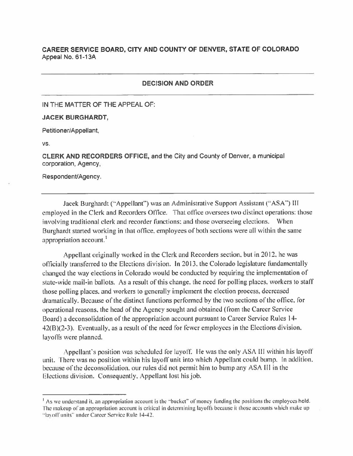## **CAREER SERVICE BOARD, CITY AND COUNTY OF DENVER, STATE OF COLORADO**  Appeal No. 61-13A

## **DECISION AND ORDER**

IN THE MATTER OF THE APPEAL OF:

## **JACEK BURGHARDT,**

Petitioner/Appellant,

vs.

CLERK AND RECORDERS OFFICE, and the City and County of Denver, a municipal corporation, Agency,

Respondent/Agency.

Jacek Burghardt ("Appellant") was an Administrative Support Assistant ("ASA") III employed in the Clerk and Recorders Office. That office oversees two distinct operations: those involving traditional clerk and recorder functions: and those overseeing elections. When Burghardt started working in that office. employees of both sections were all within the same appropriation account.<sup>1</sup>

Appellant originally worked in the Clerk and Recorders section. but in 2012. he was officially transferred to the Elections division. In 2013. the Colorado legislature fundamentally changed the way elections in Colorado would be conducted by requiring the implementation of state-wide mail-in ballots. As a result of this change. the need for polling places. workers to staff those polling places. and workers to generally implement the election process, decreased dramatically. Because of the distinct functions performed by the two sections of the office. for operational reasons. the head of the Agency sought and obtained ( from the Career Service Board) a deconsolidation of the appropriation account pursuant to Career Service Rules 14- 42(8 )(2-3 ). Eventually. as a result of the need for fewer employees in the Elections division. layoffs were planned.

Appellant's position was scheduled for layoff. He was the only ASA III within his layoff unit. There was no position within his layoff unit into which Appellant could bump. In addition. because of the deconsolidation. our rules did not permit him to bump any ASA Ill in the Elections division. Consequently. Appellant lost his job.

<sup>&</sup>lt;sup>1</sup> As we understand it, an appropriation account is the "bucket" of money funding the positions the employees hold. The makeup of an appropriation account is critical in determining layoffs because it those accounts which make up "lavoff units" under Career Service Rule 14-42.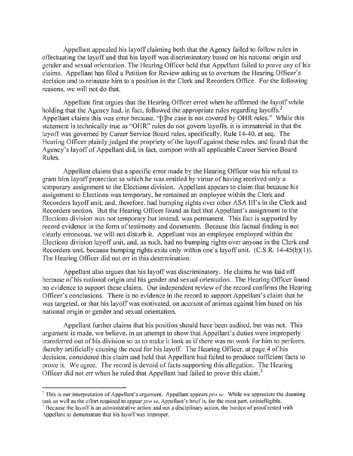Appellant appealed his layoff claiming both that the Agency foiled to follow rules in effectuating the layoff and that his layoff was discriminatory based on his national origin and gender and sexual orientation. The Hearing Officer held that Appellant failed to prove any of his claims. Appellant has filed a Petition for Review asking us to overturn the Hearing Officer's decision and to reinstate him to a position in the Clerk and Recorders Office. For the following reasons. we will not do that.

Appellant first argues that the Hearing Officer erred when he affirmed the layoff while holding that the Agency had, in fact, followed the appropriate rules regarding layoffs.<sup>2</sup> Appellant claims this was error because. "[t]he case is not covered by OHR rules.'' While this statement is technically true as "OHR" rules do not govern layoffs, it is immaterial in that the layoff was governed by Career Service Board rules. specifically, Rule 14-40. et seq. The Hearing Officer plainly judged the propriety of the layoff against these rules. and found that the Agency's layoff of Appellant did, in fact, comport with all applicable Career Service Board Rules.

Appellant claims that a specific error made by the Hearing Officer was his refusal to grant him layoff protection to which he was entitled by virtue of having received only a temporary assignment to the Elections division. Appellant appears to claim that because his assignment to Elections was temporary, he remained an employee within the Clerk and Recorders layoff unit, and, therefore, had bumping rights over other ASA III's in the Clerk and Recorders section. But the Hearing Officer found as fact that Appellant's assignment to the Elections division was not temporary but instead. was permanent. This fact is supported by record evidence in the form of testimony and documents. Because this factual finding is not clearly erroneous. we will not disturb it. Appellant was an employee employed within the Elections division layoff unit. and. as such. had no bumping rights over anyone in the Clerk and Recorders unit. because bumping rights exits only within one's layoff unit. (C.S.R. 14-45(b)(1)). The Hearing Officer did not err in this determination.

Appellant also argues that his layoff was discriminatory. He claims he was laid off because of his national origin and his gender and sexual orientation. The Hearing Officer found no evidence to support these claims. Our independent review of the record confirms the Hearing Orficer·s conclusions. There is no evidence in the record to support Appellant's claim that he was targeted. or that his layoff was motivated, on account of animus against him based on his national origin or gender and sexual orientation.

Appellant further claims that his position should have been audited. but was not. This argument is made. we believe. in an attempt to show that Appellant's duties were improperly translerred out of his division so as to make it look as if there was no work for him to perform. thereby artificially causing the need for his layoff. The Hearing Officer, at page 4 of his Jecision. considered this claim and held that Appellant had failed to produce sufficient facts to prove it. We agree. The record is devoid of facts supporting this allegation. The I learing Officer did not err when he ruled that Appellant had failed to prove this claim.<sup>3</sup>

<sup>&</sup>lt;sup>2</sup> This is our interpretation of Appellant's argument. Appellant appears *pro se*. While we appreciate the daunting task as well as the effort required to appear *pro se*. Appellant's brief is, for the most part, unintelligible.

<sup>&</sup>lt;sup>7</sup> Because the layoff is an administrative action and not a disciplinary action, the burden of proof rested with Appellant to demonstrate that his layoff was improper.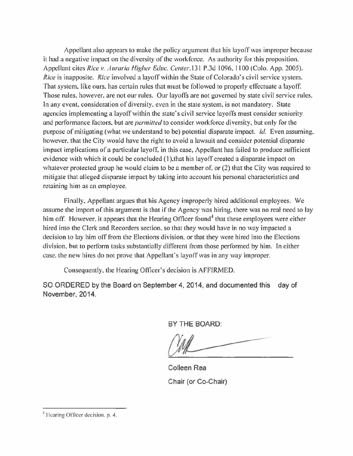Appellant also appears to make the policy argument that his layoff was improper because it had a negative impact on the diversity of the workforce. As authority for this proposition. Appellant cites *Rice v. Auraria Higher Educ. Center*, 131 P.3d 1096, 1100 (Colo. App. 2005). *Rice* is inapposite. *Rice* involved a layoff within the State of Colorado's civil service system. That system. like ours. has certain rules that must be followed to properly effectuate a layoff. Those rules. however. are not our rules. Our layoffs are not governed by state civil service rules. In any event. consideration of diversity. even in the state system, is not mandatory. State agencies implementing a layoff within the state's civil service layoffs must consider seniority and performance factors. but are *permilled* to consider workforce diversity. but only for the purpose of mitigating (what we understand to be) potential disparate impact. Id. Even assuming. however. that the City would have the right to avoid a lawsuit and consider potential disparate impact implications of a particular layoff. in this case, Appellant has failed to produce sufficient evidence with which it could be concluded (1), that his layoff created a disparate impact on whatever protected group he would claim to be a member of. or (2) that the City was required to mitigate that alleged disparate impact by taking into account his personal characteristics and retaining him as an employee.

Finally. Appellant argues that his Agency improperly hired additional employees. We assume the import of this argument is that if the Agency was hiring. there was no real need to lay him off. However, it appears that the Hearing Officer found<sup>4</sup> that these employees were either hired into the Clerk and Recorders section. so that they would have in no way impacted a decision to lay him off from the Elections division. or that they were hired into the Elections division, but to perform tasks substantially different from those performed by him. In either case. the new hires do not prove that Appellant's layoff was in any way improper.

Consequently. the Hearing Officer's decision is AFFIRMED.

SO ORDERED by the Board on September 4, 2014, and documented this day of November, 2014.

BY THE BOARD:

Colleen Rea Chair (or Co-Chair)

<sup>&</sup>lt;sup>1</sup> Hearing Officer decision, p. 4.